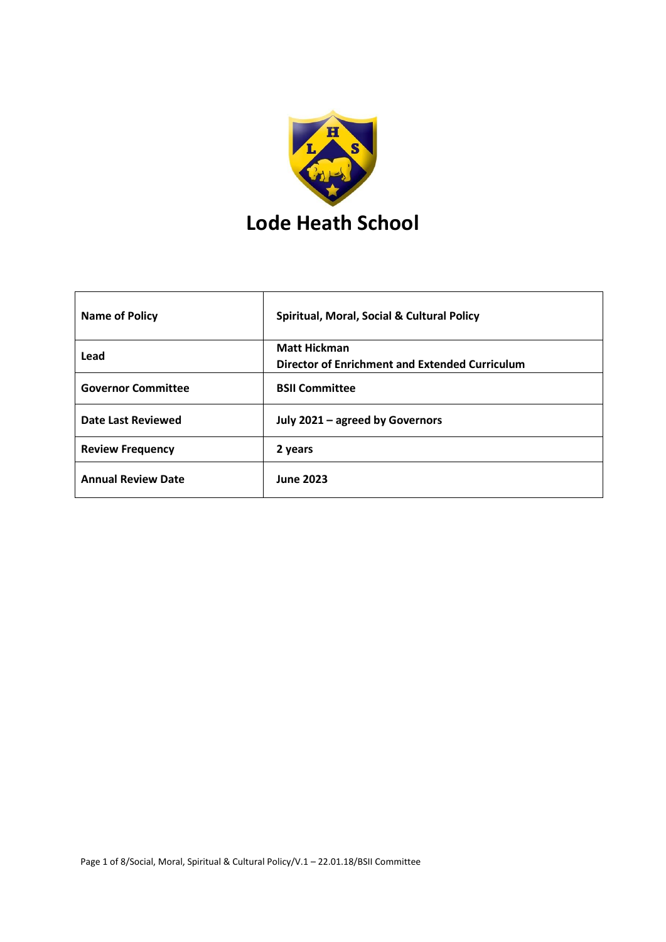

| <b>Name of Policy</b>     | <b>Spiritual, Moral, Social &amp; Cultural Policy</b> |
|---------------------------|-------------------------------------------------------|
| Lead                      | <b>Matt Hickman</b>                                   |
|                           | Director of Enrichment and Extended Curriculum        |
| <b>Governor Committee</b> | <b>BSII Committee</b>                                 |
| Date Last Reviewed        | July 2021 - agreed by Governors                       |
| <b>Review Frequency</b>   | 2 years                                               |
| <b>Annual Review Date</b> | <b>June 2023</b>                                      |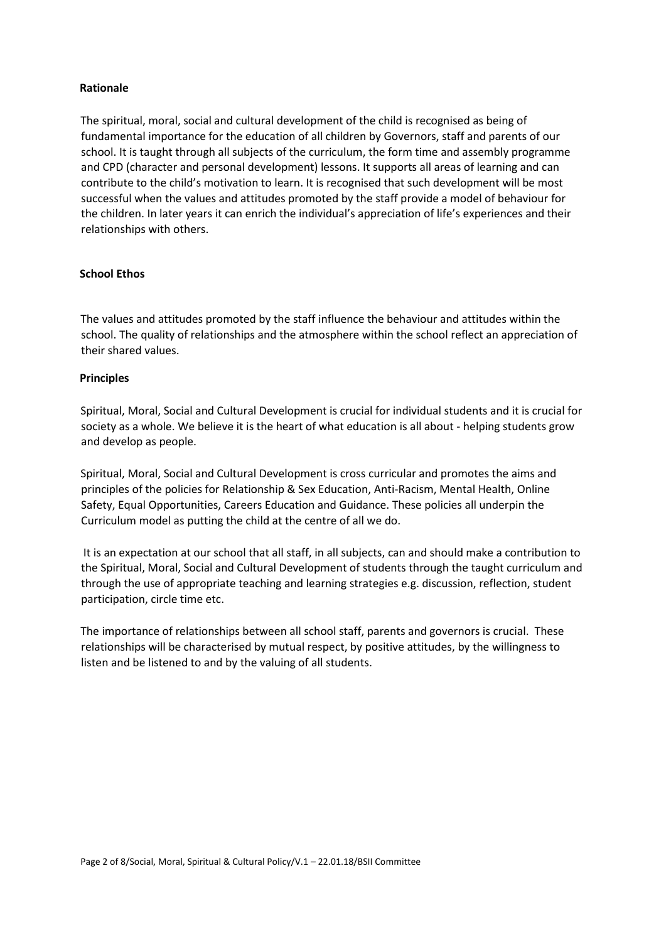#### **Rationale**

The spiritual, moral, social and cultural development of the child is recognised as being of fundamental importance for the education of all children by Governors, staff and parents of our school. It is taught through all subjects of the curriculum, the form time and assembly programme and CPD (character and personal development) lessons. It supports all areas of learning and can contribute to the child's motivation to learn. It is recognised that such development will be most successful when the values and attitudes promoted by the staff provide a model of behaviour for the children. In later years it can enrich the individual's appreciation of life's experiences and their relationships with others.

## **School Ethos**

The values and attitudes promoted by the staff influence the behaviour and attitudes within the school. The quality of relationships and the atmosphere within the school reflect an appreciation of their shared values.

#### **Principles**

Spiritual, Moral, Social and Cultural Development is crucial for individual students and it is crucial for society as a whole. We believe it is the heart of what education is all about - helping students grow and develop as people.

Spiritual, Moral, Social and Cultural Development is cross curricular and promotes the aims and principles of the policies for Relationship & Sex Education, Anti-Racism, Mental Health, Online Safety, Equal Opportunities, Careers Education and Guidance. These policies all underpin the Curriculum model as putting the child at the centre of all we do.

It is an expectation at our school that all staff, in all subjects, can and should make a contribution to the Spiritual, Moral, Social and Cultural Development of students through the taught curriculum and through the use of appropriate teaching and learning strategies e.g. discussion, reflection, student participation, circle time etc.

The importance of relationships between all school staff, parents and governors is crucial. These relationships will be characterised by mutual respect, by positive attitudes, by the willingness to listen and be listened to and by the valuing of all students.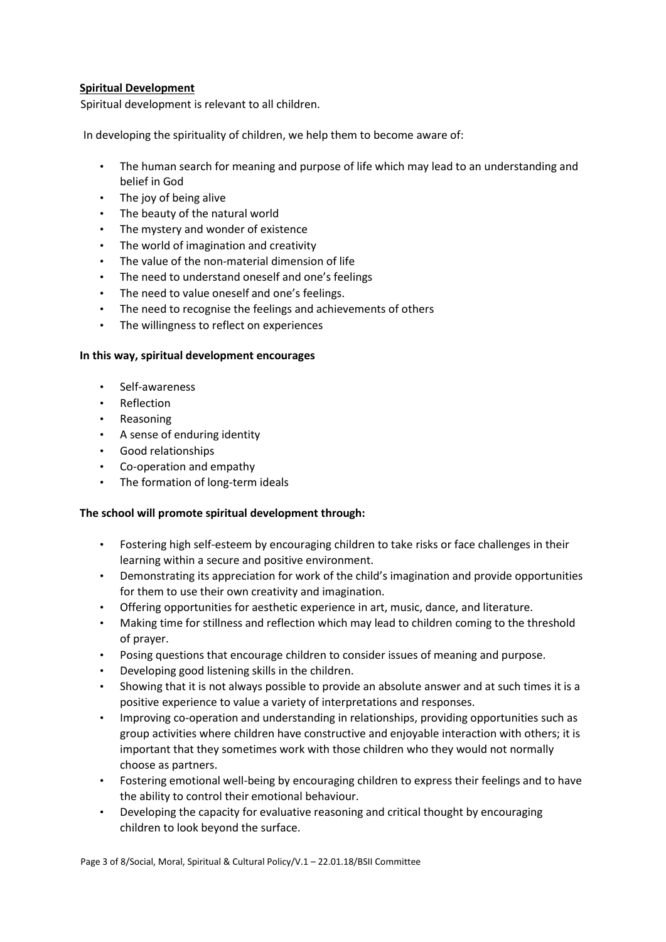## **Spiritual Development**

Spiritual development is relevant to all children.

In developing the spirituality of children, we help them to become aware of:

- The human search for meaning and purpose of life which may lead to an understanding and belief in God
- The joy of being alive
- The beauty of the natural world
- The mystery and wonder of existence
- The world of imagination and creativity
- The value of the non-material dimension of life
- The need to understand oneself and one's feelings
- The need to value oneself and one's feelings.
- The need to recognise the feelings and achievements of others
- The willingness to reflect on experiences

## **In this way, spiritual development encourages**

- Self-awareness
- Reflection
- Reasoning
- A sense of enduring identity
- Good relationships
- Co-operation and empathy
- The formation of long-term ideals

# **The school will promote spiritual development through:**

- Fostering high self-esteem by encouraging children to take risks or face challenges in their learning within a secure and positive environment.
- Demonstrating its appreciation for work of the child's imagination and provide opportunities for them to use their own creativity and imagination.
- Offering opportunities for aesthetic experience in art, music, dance, and literature.
- Making time for stillness and reflection which may lead to children coming to the threshold of prayer.
- Posing questions that encourage children to consider issues of meaning and purpose.
- Developing good listening skills in the children.
- Showing that it is not always possible to provide an absolute answer and at such times it is a positive experience to value a variety of interpretations and responses.
- Improving co-operation and understanding in relationships, providing opportunities such as group activities where children have constructive and enjoyable interaction with others; it is important that they sometimes work with those children who they would not normally choose as partners.
- Fostering emotional well-being by encouraging children to express their feelings and to have the ability to control their emotional behaviour.
- Developing the capacity for evaluative reasoning and critical thought by encouraging children to look beyond the surface.

Page 3 of 8/Social, Moral, Spiritual & Cultural Policy/V.1 – 22.01.18/BSII Committee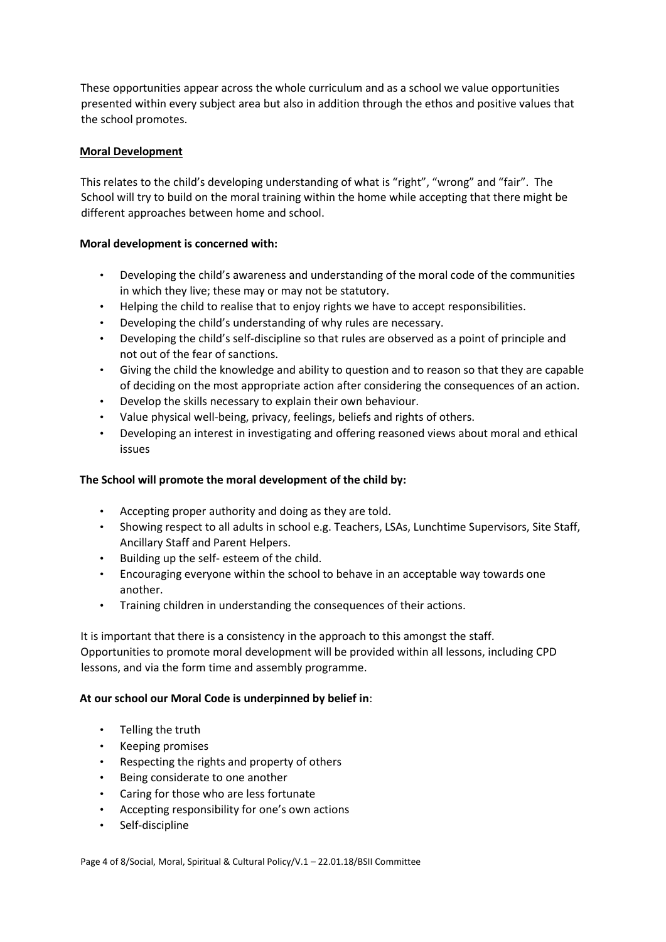These opportunities appear across the whole curriculum and as a school we value opportunities presented within every subject area but also in addition through the ethos and positive values that the school promotes.

## **Moral Development**

This relates to the child's developing understanding of what is "right", "wrong" and "fair". The School will try to build on the moral training within the home while accepting that there might be different approaches between home and school.

## **Moral development is concerned with:**

- Developing the child's awareness and understanding of the moral code of the communities in which they live; these may or may not be statutory.
- Helping the child to realise that to enjoy rights we have to accept responsibilities.
- Developing the child's understanding of why rules are necessary.
- Developing the child's self-discipline so that rules are observed as a point of principle and not out of the fear of sanctions.
- Giving the child the knowledge and ability to question and to reason so that they are capable of deciding on the most appropriate action after considering the consequences of an action.
- Develop the skills necessary to explain their own behaviour.
- Value physical well-being, privacy, feelings, beliefs and rights of others.
- Developing an interest in investigating and offering reasoned views about moral and ethical issues

## **The School will promote the moral development of the child by:**

- Accepting proper authority and doing as they are told.
- Showing respect to all adults in school e.g. Teachers, LSAs, Lunchtime Supervisors, Site Staff, Ancillary Staff and Parent Helpers.
- Building up the self- esteem of the child.
- Encouraging everyone within the school to behave in an acceptable way towards one another.
- Training children in understanding the consequences of their actions.

It is important that there is a consistency in the approach to this amongst the staff. Opportunities to promote moral development will be provided within all lessons, including CPD lessons, and via the form time and assembly programme.

## **At our school our Moral Code is underpinned by belief in**:

- Telling the truth
- Keeping promises
- Respecting the rights and property of others
- Being considerate to one another
- Caring for those who are less fortunate
- Accepting responsibility for one's own actions
- Self-discipline

Page 4 of 8/Social, Moral, Spiritual & Cultural Policy/V.1 – 22.01.18/BSII Committee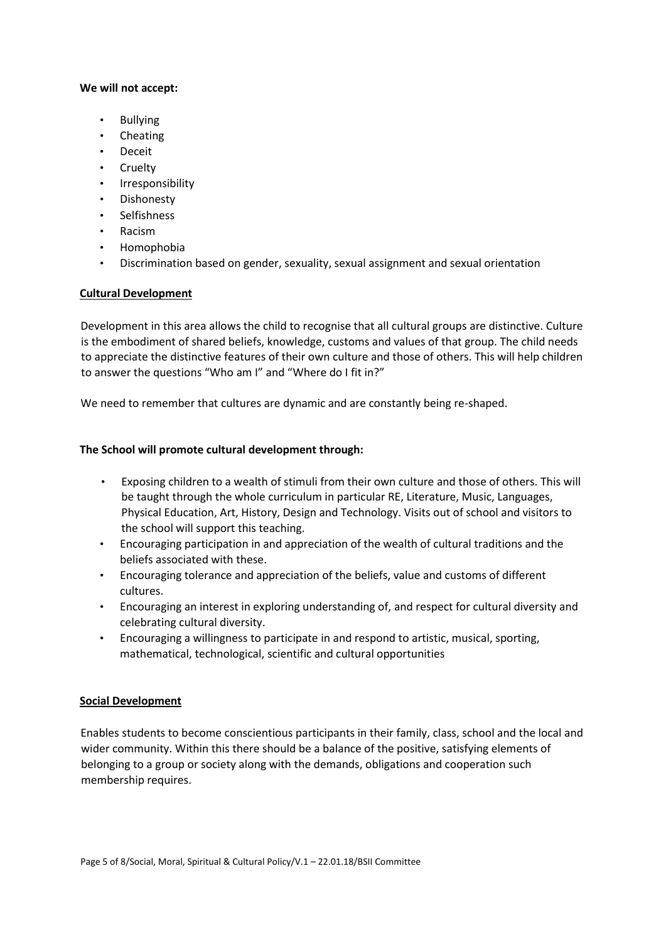### **We will not accept:**

- Bullying
- Cheating
- Deceit
- Cruelty
- Irresponsibility
- Dishonesty
- Selfishness
- Racism
- Homophobia
- Discrimination based on gender, sexuality, sexual assignment and sexual orientation

# **Cultural Development**

Development in this area allows the child to recognise that all cultural groups are distinctive. Culture is the embodiment of shared beliefs, knowledge, customs and values of that group. The child needs to appreciate the distinctive features of their own culture and those of others. This will help children to answer the questions "Who am I" and "Where do I fit in?"

We need to remember that cultures are dynamic and are constantly being re-shaped.

## **The School will promote cultural development through:**

- Exposing children to a wealth of stimuli from their own culture and those of others. This will be taught through the whole curriculum in particular RE, Literature, Music, Languages, Physical Education, Art, History, Design and Technology. Visits out of school and visitors to the school will support this teaching.
- Encouraging participation in and appreciation of the wealth of cultural traditions and the beliefs associated with these.
- Encouraging tolerance and appreciation of the beliefs, value and customs of different cultures.
- Encouraging an interest in exploring understanding of, and respect for cultural diversity and celebrating cultural diversity.
- Encouraging a willingness to participate in and respond to artistic, musical, sporting, mathematical, technological, scientific and cultural opportunities

## **Social Development**

Enables students to become conscientious participants in their family, class, school and the local and wider community. Within this there should be a balance of the positive, satisfying elements of belonging to a group or society along with the demands, obligations and cooperation such membership requires.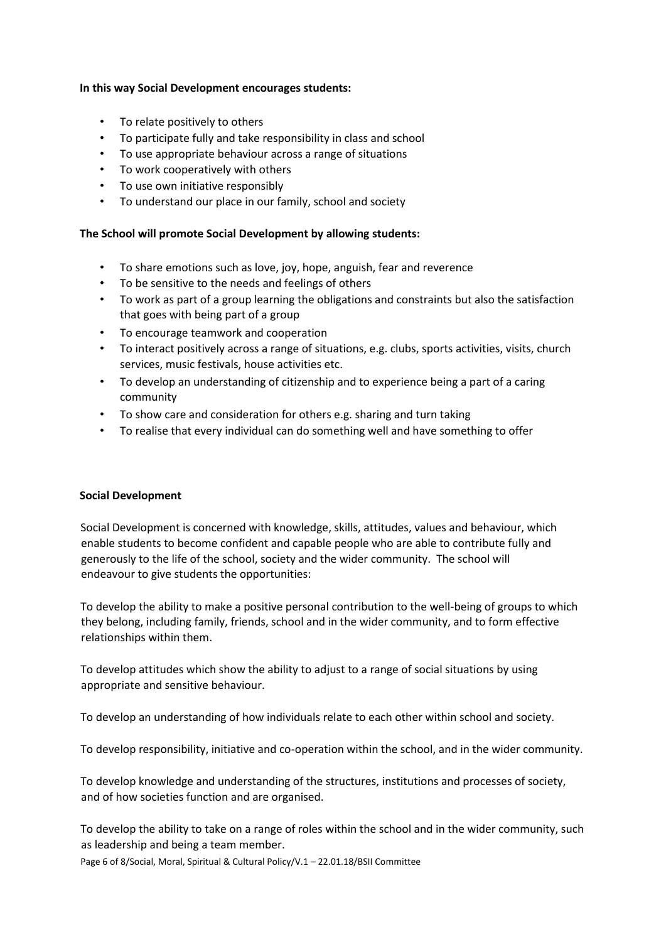## **In this way Social Development encourages students:**

- To relate positively to others
- To participate fully and take responsibility in class and school
- To use appropriate behaviour across a range of situations
- To work cooperatively with others
- To use own initiative responsibly
- To understand our place in our family, school and society

### **The School will promote Social Development by allowing students:**

- To share emotions such as love, joy, hope, anguish, fear and reverence
- To be sensitive to the needs and feelings of others
- To work as part of a group learning the obligations and constraints but also the satisfaction that goes with being part of a group
- To encourage teamwork and cooperation
- To interact positively across a range of situations, e.g. clubs, sports activities, visits, church services, music festivals, house activities etc.
- To develop an understanding of citizenship and to experience being a part of a caring community
- To show care and consideration for others e.g. sharing and turn taking
- To realise that every individual can do something well and have something to offer

## **Social Development**

Social Development is concerned with knowledge, skills, attitudes, values and behaviour, which enable students to become confident and capable people who are able to contribute fully and generously to the life of the school, society and the wider community. The school will endeavour to give students the opportunities:

To develop the ability to make a positive personal contribution to the well-being of groups to which they belong, including family, friends, school and in the wider community, and to form effective relationships within them.

To develop attitudes which show the ability to adjust to a range of social situations by using appropriate and sensitive behaviour.

To develop an understanding of how individuals relate to each other within school and society.

To develop responsibility, initiative and co-operation within the school, and in the wider community.

To develop knowledge and understanding of the structures, institutions and processes of society, and of how societies function and are organised.

To develop the ability to take on a range of roles within the school and in the wider community, such as leadership and being a team member.

Page 6 of 8/Social, Moral, Spiritual & Cultural Policy/V.1 – 22.01.18/BSII Committee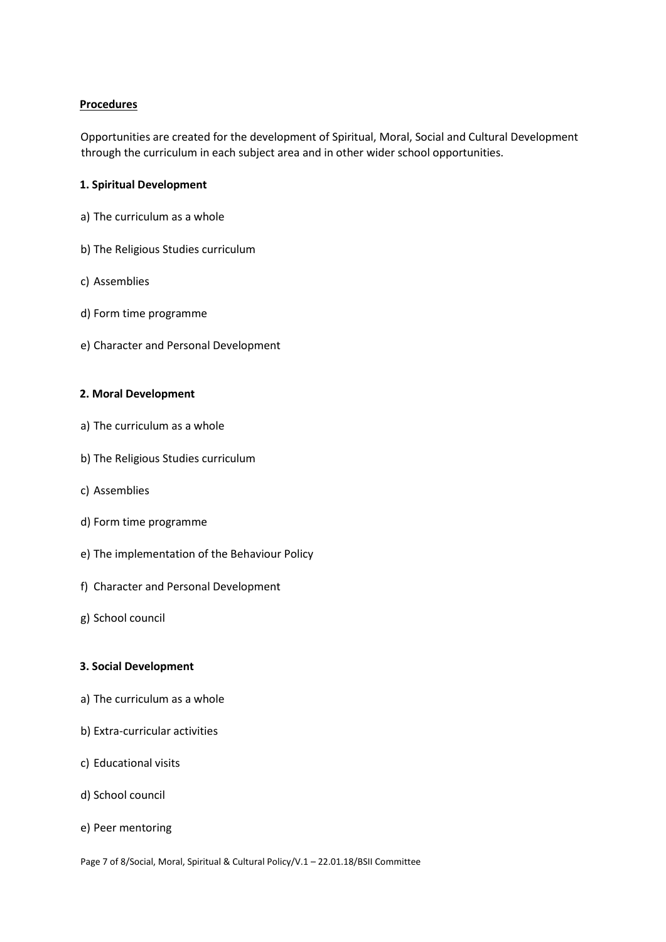## **Procedures**

Opportunities are created for the development of Spiritual, Moral, Social and Cultural Development through the curriculum in each subject area and in other wider school opportunities.

#### **1. Spiritual Development**

- a) The curriculum as a whole
- b) The Religious Studies curriculum
- c) Assemblies
- d) Form time programme
- e) Character and Personal Development

#### **2. Moral Development**

- a) The curriculum as a whole
- b) The Religious Studies curriculum
- c) Assemblies
- d) Form time programme
- e) The implementation of the Behaviour Policy
- f) Character and Personal Development
- g) School council

### **3. Social Development**

- a) The curriculum as a whole
- b) Extra-curricular activities
- c) Educational visits
- d) School council
- e) Peer mentoring

Page 7 of 8/Social, Moral, Spiritual & Cultural Policy/V.1 – 22.01.18/BSII Committee